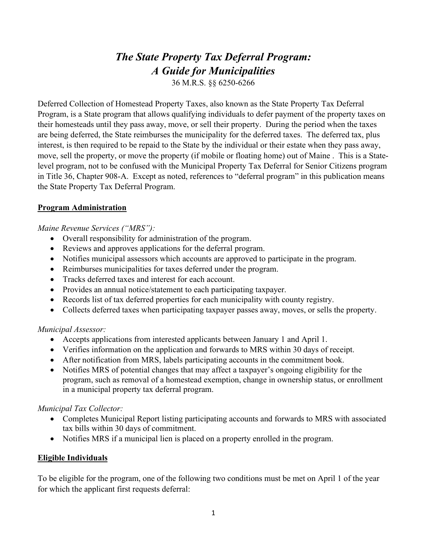# The State Property Tax Deferral Program: A Guide for Municipalities

36 M.R.S. §§ 6250-6266

Deferred Collection of Homestead Property Taxes, also known as the State Property Tax Deferral Program, is a State program that allows qualifying individuals to defer payment of the property taxes on their homesteads until they pass away, move, or sell their property. During the period when the taxes are being deferred, the State reimburses the municipality for the deferred taxes. The deferred tax, plus interest, is then required to be repaid to the State by the individual or their estate when they pass away, move, sell the property, or move the property (if mobile or floating home) out of Maine . This is a Statelevel program, not to be confused with the Municipal Property Tax Deferral for Senior Citizens program in Title 36, Chapter 908-A. Except as noted, references to "deferral program" in this publication means the State Property Tax Deferral Program.

# Program Administration

Maine Revenue Services ("MRS"):

- Overall responsibility for administration of the program.
- Reviews and approves applications for the deferral program.
- Notifies municipal assessors which accounts are approved to participate in the program.
- Reimburses municipalities for taxes deferred under the program.
- Tracks deferred taxes and interest for each account.
- Provides an annual notice/statement to each participating taxpayer.
- Records list of tax deferred properties for each municipality with county registry.
- Collects deferred taxes when participating taxpayer passes away, moves, or sells the property.

# Municipal Assessor:

- Accepts applications from interested applicants between January 1 and April 1.
- Verifies information on the application and forwards to MRS within 30 days of receipt.
- After notification from MRS, labels participating accounts in the commitment book.
- Notifies MRS of potential changes that may affect a taxpayer's ongoing eligibility for the program, such as removal of a homestead exemption, change in ownership status, or enrollment in a municipal property tax deferral program.

# Municipal Tax Collector:

- Completes Municipal Report listing participating accounts and forwards to MRS with associated tax bills within 30 days of commitment.
- Notifies MRS if a municipal lien is placed on a property enrolled in the program.

# Eligible Individuals

To be eligible for the program, one of the following two conditions must be met on April 1 of the year for which the applicant first requests deferral: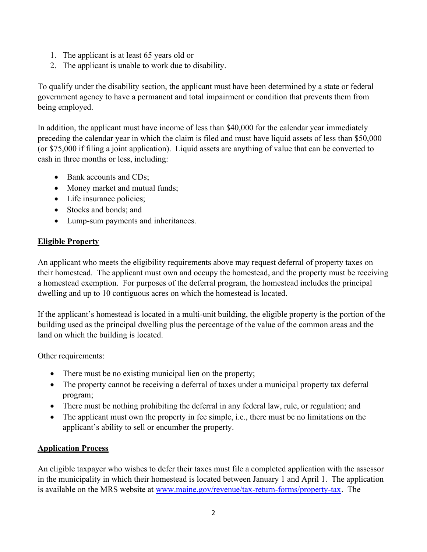- 1. The applicant is at least 65 years old or
- 2. The applicant is unable to work due to disability.

To qualify under the disability section, the applicant must have been determined by a state or federal government agency to have a permanent and total impairment or condition that prevents them from being employed.

In addition, the applicant must have income of less than \$40,000 for the calendar year immediately preceding the calendar year in which the claim is filed and must have liquid assets of less than \$50,000 (or \$75,000 if filing a joint application). Liquid assets are anything of value that can be converted to cash in three months or less, including:

- Bank accounts and CDs:
- Money market and mutual funds;
- Life insurance policies;
- Stocks and bonds; and
- Lump-sum payments and inheritances.

#### Eligible Property

An applicant who meets the eligibility requirements above may request deferral of property taxes on their homestead. The applicant must own and occupy the homestead, and the property must be receiving a homestead exemption. For purposes of the deferral program, the homestead includes the principal dwelling and up to 10 contiguous acres on which the homestead is located.

If the applicant's homestead is located in a multi-unit building, the eligible property is the portion of the building used as the principal dwelling plus the percentage of the value of the common areas and the land on which the building is located.

Other requirements:

- There must be no existing municipal lien on the property;
- The property cannot be receiving a deferral of taxes under a municipal property tax deferral program;
- There must be nothing prohibiting the deferral in any federal law, rule, or regulation; and
- The applicant must own the property in fee simple, i.e., there must be no limitations on the applicant's ability to sell or encumber the property.

### Application Process

An eligible taxpayer who wishes to defer their taxes must file a completed application with the assessor in the municipality in which their homestead is located between January 1 and April 1. The application is available on the MRS website at www.maine.gov/revenue/tax-return-forms/property-tax. The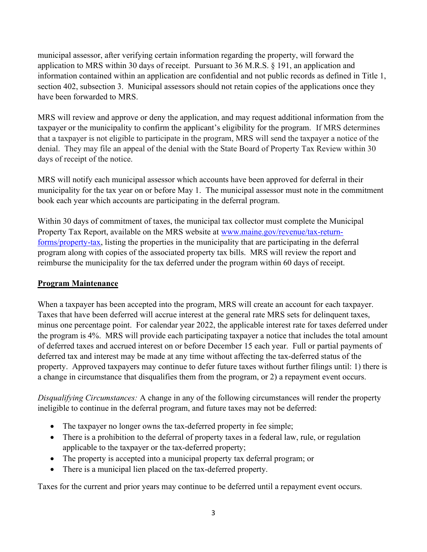municipal assessor, after verifying certain information regarding the property, will forward the application to MRS within 30 days of receipt. Pursuant to 36 M.R.S. § 191, an application and information contained within an application are confidential and not public records as defined in Title 1, section 402, subsection 3. Municipal assessors should not retain copies of the applications once they have been forwarded to MRS.

MRS will review and approve or deny the application, and may request additional information from the taxpayer or the municipality to confirm the applicant's eligibility for the program. If MRS determines that a taxpayer is not eligible to participate in the program, MRS will send the taxpayer a notice of the denial. They may file an appeal of the denial with the State Board of Property Tax Review within 30 days of receipt of the notice.

MRS will notify each municipal assessor which accounts have been approved for deferral in their municipality for the tax year on or before May 1. The municipal assessor must note in the commitment book each year which accounts are participating in the deferral program.

Within 30 days of commitment of taxes, the municipal tax collector must complete the Municipal Property Tax Report, available on the MRS website at www.maine.gov/revenue/tax-returnforms/property-tax, listing the properties in the municipality that are participating in the deferral program along with copies of the associated property tax bills. MRS will review the report and reimburse the municipality for the tax deferred under the program within 60 days of receipt.

# Program Maintenance

When a taxpayer has been accepted into the program, MRS will create an account for each taxpayer. Taxes that have been deferred will accrue interest at the general rate MRS sets for delinquent taxes, minus one percentage point. For calendar year 2022, the applicable interest rate for taxes deferred under the program is 4%. MRS will provide each participating taxpayer a notice that includes the total amount of deferred taxes and accrued interest on or before December 15 each year. Full or partial payments of deferred tax and interest may be made at any time without affecting the tax-deferred status of the property. Approved taxpayers may continue to defer future taxes without further filings until: 1) there is a change in circumstance that disqualifies them from the program, or 2) a repayment event occurs.

Disqualifying Circumstances: A change in any of the following circumstances will render the property ineligible to continue in the deferral program, and future taxes may not be deferred:

- The taxpayer no longer owns the tax-deferred property in fee simple;
- There is a prohibition to the deferral of property taxes in a federal law, rule, or regulation applicable to the taxpayer or the tax-deferred property;
- The property is accepted into a municipal property tax deferral program; or
- There is a municipal lien placed on the tax-deferred property.

Taxes for the current and prior years may continue to be deferred until a repayment event occurs.